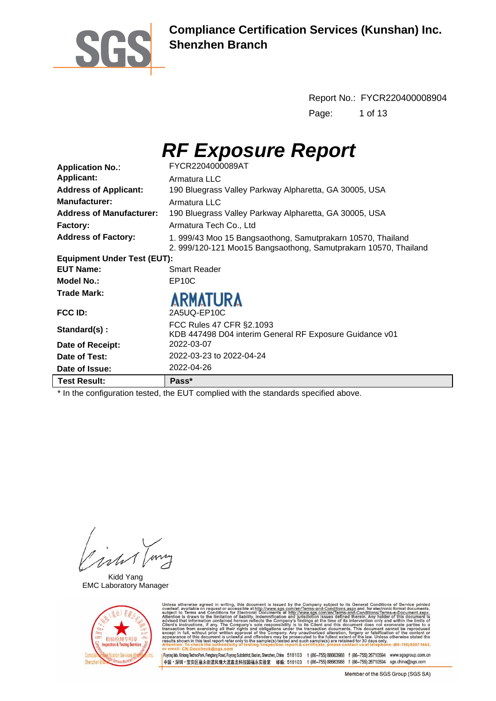

**Compliance Certification Services (Kunshan) Inc. Shenzhen Branch**

> Report No.: FYCR220400008904 Page: 1 of 13

# *RF Exposure Report*

| <b>Test Result:</b>                | Pass*                                                                                                                          |
|------------------------------------|--------------------------------------------------------------------------------------------------------------------------------|
| Date of Issue:                     | 2022-04-26                                                                                                                     |
| Date of Test:                      | 2022-03-23 to 2022-04-24                                                                                                       |
| Date of Receipt:                   | 2022-03-07                                                                                                                     |
| Standard(s):                       | FCC Rules 47 CFR §2.1093<br>KDB 447498 D04 interim General RF Exposure Guidance v01                                            |
| <b>FCC ID:</b>                     | 2A5UQ-EP10C                                                                                                                    |
| <b>Trade Mark:</b>                 | <b>ARMATURA</b>                                                                                                                |
| Model No.:                         | EP <sub>10</sub> C                                                                                                             |
| <b>EUT Name:</b>                   | <b>Smart Reader</b>                                                                                                            |
| <b>Equipment Under Test (EUT):</b> |                                                                                                                                |
| <b>Address of Factory:</b>         | 1. 999/43 Moo 15 Bangsaothong, Samutprakarn 10570, Thailand<br>2. 999/120-121 Moo15 Bangsaothong, Samutprakarn 10570, Thailand |
| <b>Factory:</b>                    | Armatura Tech Co., Ltd                                                                                                         |
| <b>Address of Manufacturer:</b>    | 190 Bluegrass Valley Parkway Alpharetta, GA 30005, USA                                                                         |
| <b>Manufacturer:</b>               | Armatura LLC                                                                                                                   |
| <b>Address of Applicant:</b>       | 190 Bluegrass Valley Parkway Alpharetta, GA 30005, USA                                                                         |
| <b>Applicant:</b>                  | Armatura LLC                                                                                                                   |
| <b>Application No.:</b>            | FYCR2204000089AT                                                                                                               |

\* In the configuration tested, the EUT complied with the standards specified above.

Kidd Yang EMC Laboratory Manager



Unless otherwise agreed in writing, this document is issued by the Company subject to its General Conditions of Service printed overleaf, available on request or accessible at http://www.sgs.com/en/Terms-and-Conditions.as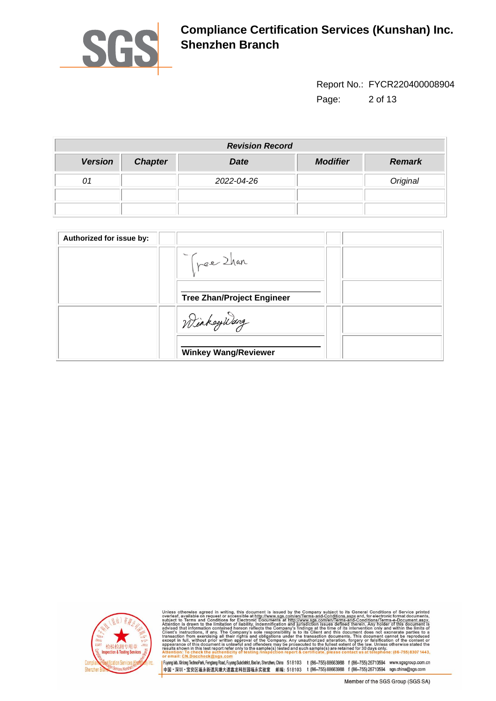

Report No.: FYCR220400008904 Page: 2 of 13

| <b>Revision Record</b> |                |             |                 |               |  |  |  |
|------------------------|----------------|-------------|-----------------|---------------|--|--|--|
| <b>Version</b>         | <b>Chapter</b> | <b>Date</b> | <b>Modifier</b> | <b>Remark</b> |  |  |  |
| 01                     |                | 2022-04-26  |                 | Original      |  |  |  |
|                        |                |             |                 |               |  |  |  |
|                        |                |             |                 |               |  |  |  |

| Authorized for issue by: |                                   |  |
|--------------------------|-----------------------------------|--|
|                          | Free Zhan                         |  |
|                          | <b>Tree Zhan/Project Engineer</b> |  |
|                          | WinkeyWang                        |  |
|                          |                                   |  |
|                          | <b>Winkey Wang/Reviewer</b>       |  |



Unless otherwise agreed in writing, this document is issued by the Company subject to its General Conditions of Service printed<br>overleaf, available on request or accessible at http://www.sgs.com/en/Terms-and-Conditions.as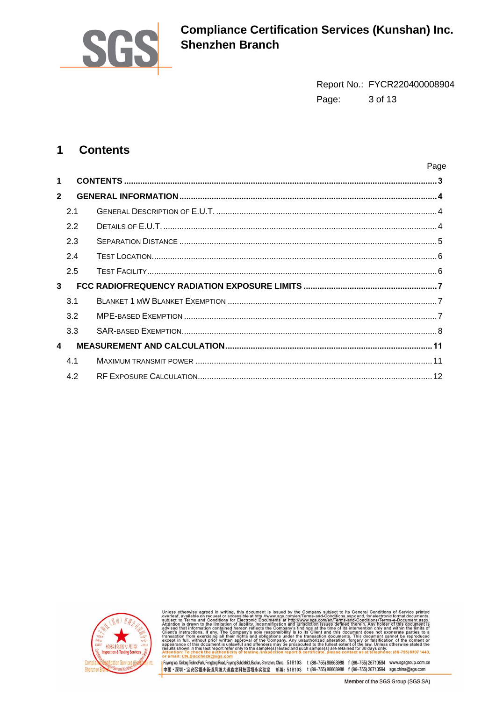

Report No.: FYCR220400008904 Page: 3 of 13

#### <span id="page-2-0"></span>1 **Contents**

|                |     | Page |
|----------------|-----|------|
| 1              |     |      |
| $\overline{2}$ |     |      |
|                | 2.1 |      |
|                | 2.2 |      |
|                | 2.3 |      |
|                | 2.4 |      |
|                | 2.5 |      |
| 3              |     |      |
|                | 3.1 |      |
|                | 3.2 |      |
|                | 3.3 |      |
| 4              |     |      |
|                | 4.1 |      |
|                | 4.2 |      |



Unless otherwise agreed in writing, this document is issued by the Company subject to its General Conditions of Service printed<br>overleaf, available on request or accessible at http://www.sgs.com/en/Terms-and-Conditions.as

| Fuyong lab.Xinlong TechnoPark, Fenglang Road, Fuyong Subdistrict, Baoian, Shenzhen, China 518103 t (86–755) 266710594 www.sgsgroup.com.cn<br>|中国・深圳・宝安区福永街道凤塘大道鑫龙科技园福永实验室 | 邮编: 518103 t (86–755) 88663988 f (86–755) 2671059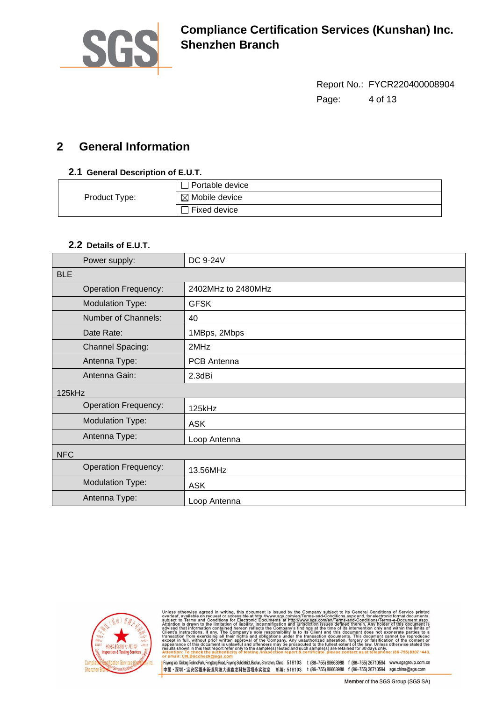

Report No.: FYCR220400008904 Page: 4 of 13

## <span id="page-3-0"></span>**2 General Information**

#### <span id="page-3-1"></span>**2.1 General Description of E.U.T.**

|               | □ Portable device         |
|---------------|---------------------------|
| Product Type: | $\boxtimes$ Mobile device |
|               | <sup>1</sup> Fixed device |

#### <span id="page-3-2"></span>**2.2 Details of E.U.T.**

| Power supply:               | <b>DC 9-24V</b>    |
|-----------------------------|--------------------|
| <b>BLE</b>                  |                    |
| <b>Operation Frequency:</b> | 2402MHz to 2480MHz |
| <b>Modulation Type:</b>     | <b>GFSK</b>        |
| Number of Channels:         | 40                 |
| Date Rate:                  | 1MBps, 2Mbps       |
| <b>Channel Spacing:</b>     | 2MHz               |
| Antenna Type:               | PCB Antenna        |
| Antenna Gain:               | 2.3dBi             |
| 125kHz                      |                    |
| <b>Operation Frequency:</b> | 125kHz             |
| <b>Modulation Type:</b>     | <b>ASK</b>         |
| Antenna Type:               | Loop Antenna       |
| <b>NFC</b>                  |                    |
| <b>Operation Frequency:</b> | 13.56MHz           |
| <b>Modulation Type:</b>     | <b>ASK</b>         |
| Antenna Type:               | Loop Antenna       |



Unless otherwise agreed in writing, this document is issued by the Company subject to its General Conditions of Service printed<br>overleaf, available on request or accessible at http://www.sgs.com/en/Terms-and-Conditions.as

| Fuyong lab.Xinlong TechnoPark, Fengtang Road, Fuyong Subdistrict, Barén, Shenzhen, China 518103 t (86–755) 266710597 16594 www.sgsgroup.com.cn<br>|中国・深圳・宝安区福永街道凤塘大道鑫龙科技园福永实验室 | 邮编: 518103 t (86–755) 88663988 f (86–755) 267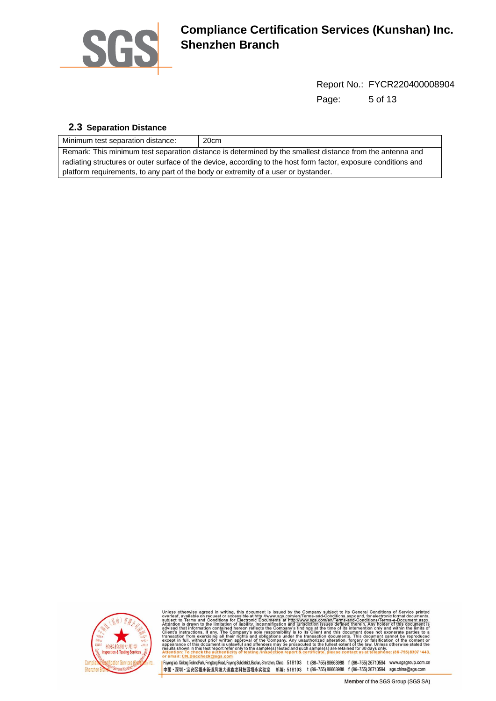

Report No.: FYCR220400008904 Page: 5 of 13

#### <span id="page-4-0"></span>**2.3 Separation Distance**

| Minimum test separation distance: | 20cm                                                                                                      |
|-----------------------------------|-----------------------------------------------------------------------------------------------------------|
|                                   | Remark: This minimum test separation distance is determined by the smallest distance from the antenna and |

radiating structures or outer surface of the device, according to the host form factor, exposure conditions and platform requirements, to any part of the body or extremity of a user or bystander.



Unless otherwise agreed in writing, this document is issued by the Company subject to its General Conditions of Service printed overleaf, available on request or accessible at http://www.sgs.com/en/Terms-and-Conditions.asp e or ans uccurrent is unaware and one-may be prosecuted to the functional particle in the raw. Onless outerwise stated the<br>Which this test report refer only to the sample(s) tested and such sample(s) are retained for 30 da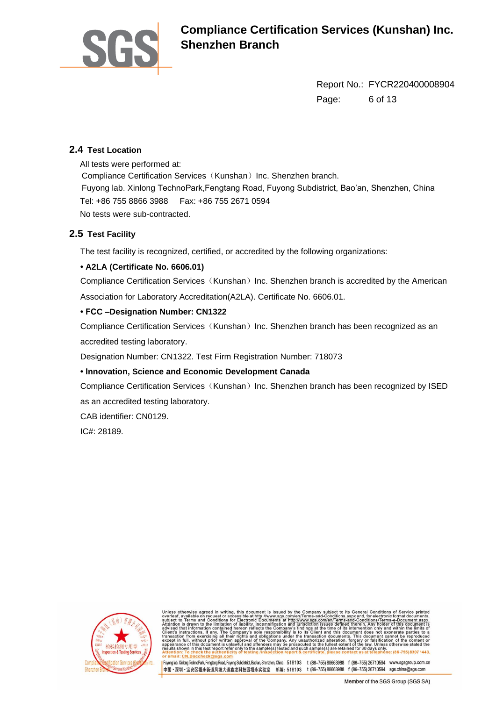

Report No.: FYCR220400008904 Page: 6 of 13

#### <span id="page-5-0"></span>**2.4 Test Location**

All tests were performed at: Compliance Certification Services (Kunshan) Inc. Shenzhen branch. Fuyong lab. Xinlong TechnoPark,Fengtang Road, Fuyong Subdistrict, Bao'an, Shenzhen, China Tel: +86 755 8866 3988 Fax: +86 755 2671 0594 No tests were sub-contracted.

#### <span id="page-5-1"></span>**2.5 Test Facility**

The test facility is recognized, certified, or accredited by the following organizations:

#### **• A2LA (Certificate No. 6606.01)**

Compliance Certification Services (Kunshan) Inc. Shenzhen branch is accredited by the American Association for Laboratory Accreditation(A2LA). Certificate No. 6606.01.

#### **• FCC –Designation Number: CN1322**

Compliance Certification Services (Kunshan) Inc. Shenzhen branch has been recognized as an accredited testing laboratory.

Designation Number: CN1322. Test Firm Registration Number: 718073

#### **• Innovation, Science and Economic Development Canada**

Compliance Certification Services (Kunshan) Inc. Shenzhen branch has been recognized by ISED as an accredited testing laboratory.

CAB identifier: CN0129.

IC#: 28189.



therwise agreed in writing, this document is issued by the Company subject to its General Conditions of Service<br>In available on request or accessible at http://www.sgs.com/en/Terms-and-Conditions.aspx and, for electronic f or the law. Unles:<br>d for 30 days only<br>act us at telephol test report refer only to the sample(s) teste ich sample(s) are retair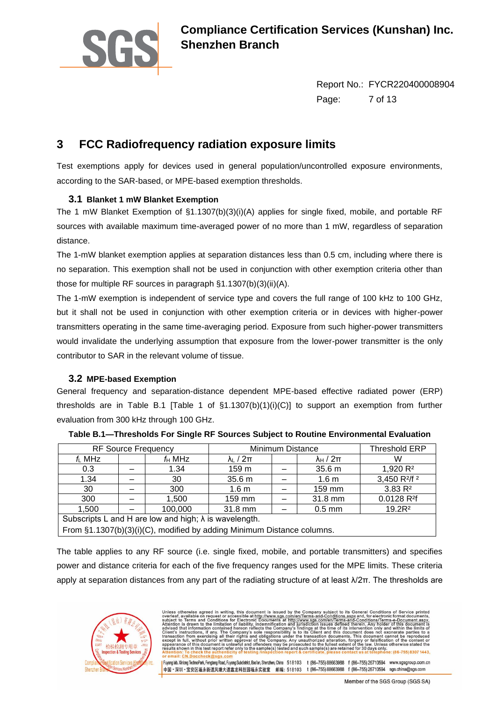

Report No.: FYCR220400008904 Page: 7 of 13

## <span id="page-6-0"></span>**3 FCC Radiofrequency radiation exposure limits**

Test exemptions apply for devices used in general population/uncontrolled exposure environments, according to the SAR-based, or MPE-based exemption thresholds.

### <span id="page-6-1"></span>**3.1 Blanket 1 mW Blanket Exemption**

The 1 mW Blanket Exemption of §1.1307(b)(3)(i)(A) applies for single fixed, mobile, and portable RF sources with available maximum time-averaged power of no more than 1 mW, regardless of separation distance.

The 1-mW blanket exemption applies at separation distances less than 0.5 cm, including where there is no separation. This exemption shall not be used in conjunction with other exemption criteria other than those for multiple RF sources in paragraph §1.1307(b)(3)(ii)(A).

The 1-mW exemption is independent of service type and covers the full range of 100 kHz to 100 GHz, but it shall not be used in conjunction with other exemption criteria or in devices with higher-power transmitters operating in the same time-averaging period. Exposure from such higher-power transmitters would invalidate the underlying assumption that exposure from the lower-power transmitter is the only contributor to SAR in the relevant volume of tissue.

### <span id="page-6-2"></span>**3.2 MPE-based Exemption**

General frequency and separation-distance dependent MPE-based effective radiated power (ERP) thresholds are in Table B.1 [Table 1 of §1.1307(b)(1)(i)(C)] to support an exemption from further evaluation from 300 kHz through 100 GHz.

| <b>RF Source Frequency</b>                                             |  |           | Minimum Distance  |  |                            | Threshold ERP                        |  |
|------------------------------------------------------------------------|--|-----------|-------------------|--|----------------------------|--------------------------------------|--|
| $f_L$ MHz                                                              |  | $f_H$ MHz | $\lambda_L/2\pi$  |  | $\lambda_{\rm H}$ / $2\pi$ | W                                    |  |
| 0.3                                                                    |  | 1.34      | 159 <sub>m</sub>  |  | 35.6 <sub>m</sub>          | 1,920 R <sup>2</sup>                 |  |
| 1.34                                                                   |  | 30        | 35.6 <sub>m</sub> |  | 1.6 <sub>m</sub>           | 3,450 R <sup>2</sup> /f <sup>2</sup> |  |
| 30                                                                     |  | 300       | 1.6 <sub>m</sub>  |  | 159 mm                     | 3.83R <sup>2</sup>                   |  |
| 300                                                                    |  | 1,500     | 159 mm            |  | 31.8 mm                    | 0.0128 R <sup>2</sup> f              |  |
| 1,500                                                                  |  | 100,000   | 31.8 mm           |  | $0.5$ mm                   | 19.2R <sup>2</sup>                   |  |
| Subscripts L and H are low and high; $\lambda$ is wavelength.          |  |           |                   |  |                            |                                      |  |
| From §1.1307(b)(3)(i)(C), modified by adding Minimum Distance columns. |  |           |                   |  |                            |                                      |  |

|  |  |  | Table B.1—Thresholds For Single RF Sources Subject to Routine Environmental Evaluation |  |
|--|--|--|----------------------------------------------------------------------------------------|--|
|  |  |  |                                                                                        |  |
|  |  |  |                                                                                        |  |

The table applies to any RF source (i.e. single fixed, mobile, and portable transmitters) and specifies power and distance criteria for each of the five frequency ranges used for the MPE limits. These criteria apply at separation distances from any part of the radiating structure of at least λ/2π. The thresholds are

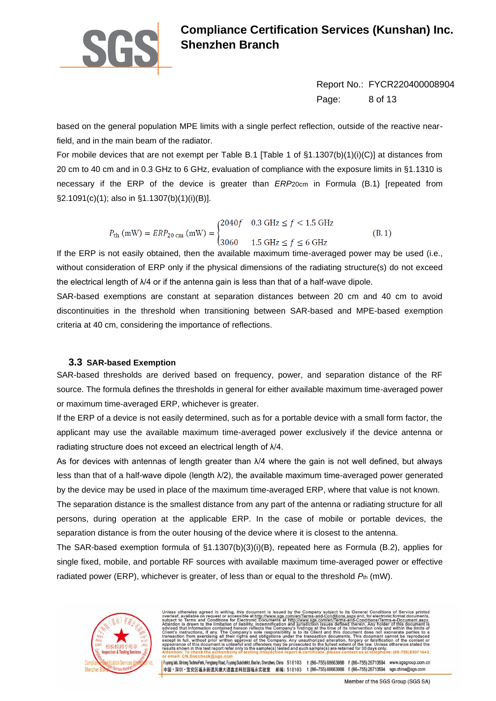

Report No.: FYCR220400008904 Page: 8 of 13

based on the general population MPE limits with a single perfect reflection, outside of the reactive nearfield, and in the main beam of the radiator.

For mobile devices that are not exempt per Table B.1 [Table 1 of §1.1307(b)(1)(i)(C)] at distances from 20 cm to 40 cm and in 0.3 GHz to 6 GHz, evaluation of compliance with the exposure limits in §1.1310 is necessary if the ERP of the device is greater than *ERP*20cm in Formula (B.1) [repeated from §2.1091(c)(1); also in §1.1307(b)(1)(i)(B)].

> $P_{\text{th}} \text{ (mW)} = ERP_{20 \text{ cm}} \text{ (mW)} = \begin{cases} 2040f & 0.3 \text{ GHz} \le f < 1.5 \text{ GHz} \\ 3060 & 1.5 \text{ GHz} \le f \le 6 \text{ GHz} \end{cases}$  $(B.1)$

If the ERP is not easily obtained, then the available maximum time-averaged power may be used (i.e., without consideration of ERP only if the physical dimensions of the radiating structure(s) do not exceed the electrical length of λ/4 or if the antenna gain is less than that of a half-wave dipole.

SAR-based exemptions are constant at separation distances between 20 cm and 40 cm to avoid discontinuities in the threshold when transitioning between SAR-based and MPE-based exemption criteria at 40 cm, considering the importance of reflections.

#### <span id="page-7-0"></span>**3.3 SAR-based Exemption**

SAR-based thresholds are derived based on frequency, power, and separation distance of the RF source. The formula defines the thresholds in general for either available maximum time-averaged power or maximum time-averaged ERP, whichever is greater.

If the ERP of a device is not easily determined, such as for a portable device with a small form factor, the applicant may use the available maximum time-averaged power exclusively if the device antenna or radiating structure does not exceed an electrical length of λ/4.

As for devices with antennas of length greater than λ/4 where the gain is not well defined, but always less than that of a half-wave dipole (length λ/2), the available maximum time-averaged power generated by the device may be used in place of the maximum time-averaged ERP, where that value is not known.

The separation distance is the smallest distance from any part of the antenna or radiating structure for all persons, during operation at the applicable ERP. In the case of mobile or portable devices, the separation distance is from the outer housing of the device where it is closest to the antenna.

The SAR-based exemption formula of §1.1307(b)(3)(i)(B), repeated here as Formula (B.2), applies for single fixed, mobile, and portable RF sources with available maximum time-averaged power or effective radiated power (ERP), whichever is greater, of less than or equal to the threshold *P*th (mW).



Unless otherwise agreed in writing, this document is issued by the Company subject to its General Conditions of Service printed overleaf, available on request or accessible at http://www.sgs.com/en/Terms-and-Conditions Ter rn in this test report refer only to the sample(s) tested and such sample(s) are retained for 30 days only.<br>Fo check the authenticity of testing /inspection report & certificate, please contact us at telephone: (86-755) 83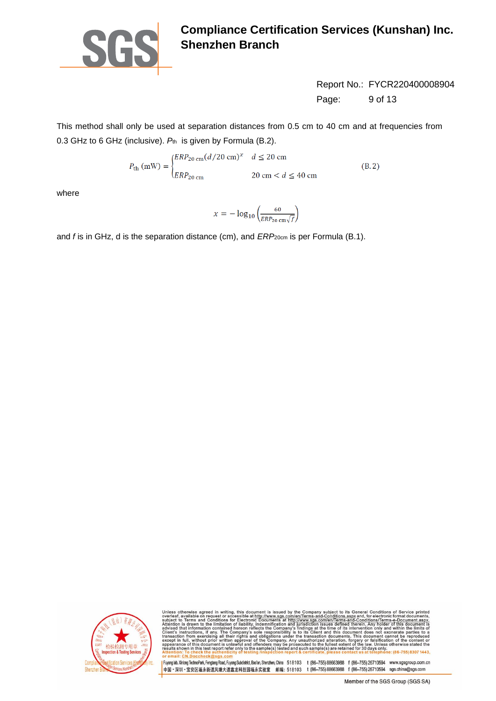

Report No.: FYCR220400008904 Page: 9 of 13

This method shall only be used at separation distances from 0.5 cm to 40 cm and at frequencies from 0.3 GHz to 6 GHz (inclusive). *P*th is given by Formula (B.2).

$$
P_{\text{th}}\left(\text{mW}\right) = \begin{cases} ERP_{20\text{ cm}}(d/20\text{ cm})^{\kappa} & d \le 20\text{ cm} \\ ERP_{20\text{ cm}} & 20\text{ cm} < d \le 40\text{ cm} \end{cases}
$$
(B. 2)

where

$$
x = -\log_{10}\left(\frac{60}{\text{ERP}_{20 \text{ cm}}\sqrt{f}}\right)
$$

and *f* is in GHz, d is the separation distance (cm), and *ERP*<sub>20cm</sub> is per Formula (B.1).



Unless otherwise agreed in writing, this document is issued by the Company subject to its General Conditions of Service subject to Terms and Conditions for Service subject to Terms and Conditions for Selection its company contained hereon reflects the Company, The Company<br>ing all their rights and obligations union<br>rior written approval of the Company.<br>ment is unlawful and offenders may be or the law. Unles:<br>d for 30 days only<br>act us at telephol test report refer only to the sample(s) teste ich sample(s) are retair (86-755) 8307 1443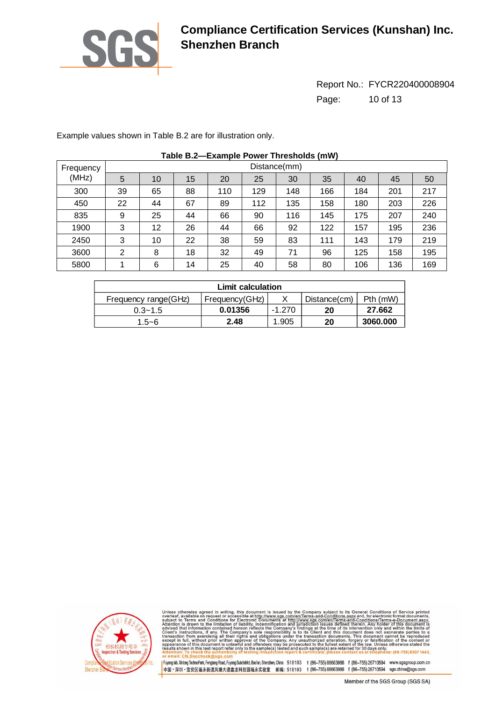

Report No.: FYCR220400008904 Page: 10 of 13

Example values shown in Table B.2 are for illustration only.

| Frequency |    |    |    |     |     | Distance(mm) |     |     |     |     |
|-----------|----|----|----|-----|-----|--------------|-----|-----|-----|-----|
| (MHz)     | 5  | 10 | 15 | 20  | 25  | 30           | 35  | 40  | 45  | 50  |
| 300       | 39 | 65 | 88 | 110 | 129 | 148          | 166 | 184 | 201 | 217 |
| 450       | 22 | 44 | 67 | 89  | 112 | 135          | 158 | 180 | 203 | 226 |
| 835       | 9  | 25 | 44 | 66  | 90  | 116          | 145 | 175 | 207 | 240 |
| 1900      | 3  | 12 | 26 | 44  | 66  | 92           | 122 | 157 | 195 | 236 |
| 2450      | 3  | 10 | 22 | 38  | 59  | 83           | 111 | 143 | 179 | 219 |
| 3600      | 2  | 8  | 18 | 32  | 49  | 71           | 96  | 125 | 158 | 195 |
| 5800      |    | 6  | 14 | 25  | 40  | 58           | 80  | 106 | 136 | 169 |

#### **Table B.2—Example Power Thresholds (mW)**

| <b>Limit calculation</b>                                                        |         |          |    |          |  |  |
|---------------------------------------------------------------------------------|---------|----------|----|----------|--|--|
| P <sub>th</sub> (mW)<br>Distance(cm)<br>Frequency(GHz)<br>Frequency range (GHz) |         |          |    |          |  |  |
| $0.3 - 1.5$                                                                     | 0.01356 | $-1.270$ | 20 | 27.662   |  |  |
| $1.5 - 6$                                                                       | 2.48    | 1.905    | 20 | 3060,000 |  |  |



Unless otherwise agreed in writing, this document is issued by the Company subject to its General Conditions of Service printed overleaf, available on request or accessible at http://www.sgs.com/en/Terms-and-Conditions.as

| Fuyong lab.Xinlong TechnoPark, Fengtang Road, Fuyong Subdistrict, Barén, Shenzhen, China 518103 t (86–755) 266710597 16594 www.sgsgroup.com.cn<br>|中国・深圳・宝安区福永街道凤塘大道鑫龙科技园福永实验室 | 邮编: 518103 t (86–755) 88663988 f (86–755) 267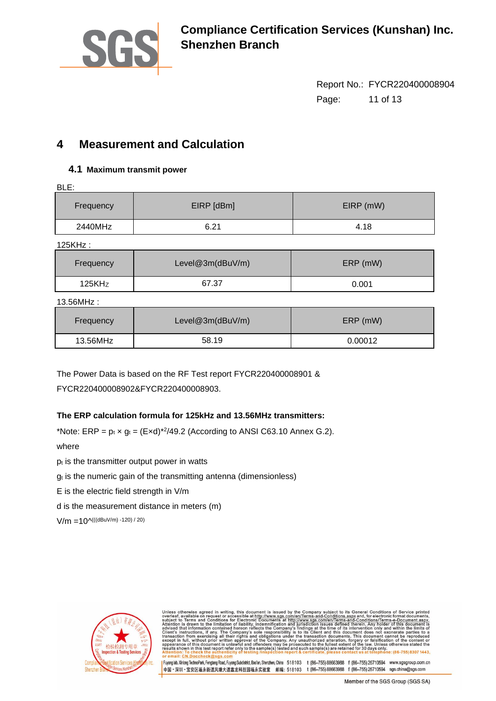

Report No.: FYCR220400008904 Page: 11 of 13

## <span id="page-10-0"></span>**4 Measurement and Calculation**

#### <span id="page-10-1"></span>**4.1 Maximum transmit power**

| BLE:               |                  |           |
|--------------------|------------------|-----------|
| Frequency          | EIRP [dBm]       | EIRP (mW) |
| 2440MHz            | 6.21             | 4.18      |
| 125KHz:            |                  |           |
| Frequency          | Level@3m(dBuV/m) | ERP (mW)  |
| 125KH <sub>Z</sub> | 67.37            | 0.001     |

13.56MHz :

| Frequency | Level@3m(dBuV/m) | ERP (mW) |
|-----------|------------------|----------|
| 13.56MHz  | 58.19            | 0.00012  |

The Power Data is based on the RF Test report FYCR220400008901 & FYCR220400008902&FYCR220400008903.

### **The ERP calculation formula for 125kHz and 13.56MHz transmitters:**

\*Note: ERP =  $p_t \times g_t = (Exd)^* / 49.2$  (According to ANSI C63.10 Annex G.2).

where

 $p<sub>t</sub>$  is the transmitter output power in watts

g<sub>t</sub> is the numeric gain of the transmitting antenna (dimensionless)

E is the electric field strength in V/m

d is the measurement distance in meters (m)

 $V/m = 10^{\Lambda(((dBuV/m) -120) / 20)}$ 



Unless otherwise agreed in writing, this document is issued by the Company subject to its General Conditions of Service printed overleaf, available on request or accessible at http://www.sgs.com/en/Terms-and-Conditions.Ter rn in this test report refer only to the sample(s) tested and such sample(s) are retaine<br>To check the authenticity of testing /inspection report & certificate, please cont d for 30 days only<br>act us at telephor .<br>ne: (86-755) 8307 1443.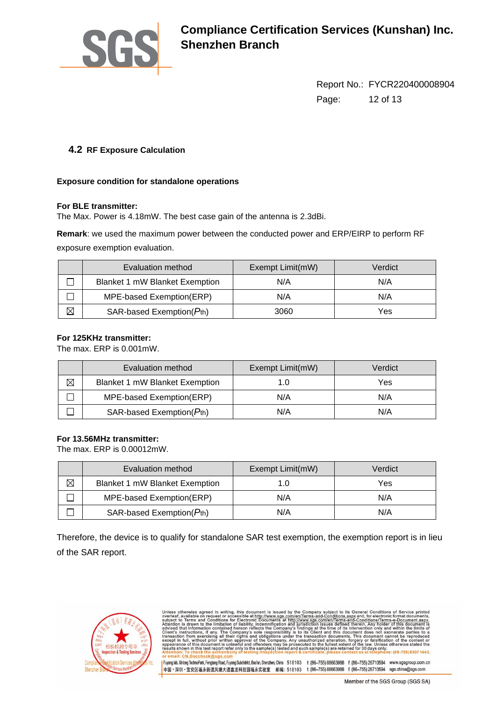

Report No.: FYCR220400008904 Page: 12 of 13

#### <span id="page-11-0"></span>**4.2 RF Exposure Calculation**

#### **Exposure condition for standalone operations**

#### **For BLE transmitter:**

The Max. Power is 4.18mW. The best case gain of the antenna is 2.3dBi.

**Remark**: we used the maximum power between the conducted power and ERP/EIRP to perform RF

exposure exemption evaluation.

|             | Evaluation method                      | Exempt Limit(mW) | Verdict |
|-------------|----------------------------------------|------------------|---------|
|             | <b>Blanket 1 mW Blanket Exemption</b>  | N/A              | N/A     |
|             | MPE-based Exemption(ERP)               | N/A              | N/A     |
| $\boxtimes$ | SAR-based Exemption( $P_{\text{th}}$ ) | 3060             | Yes     |

#### **For 125KHz transmitter:**

The max. ERP is 0.001mW.

|             | Evaluation method                      | Exempt Limit(mW) | Verdict |
|-------------|----------------------------------------|------------------|---------|
| $\boxtimes$ | <b>Blanket 1 mW Blanket Exemption</b>  | 1.0              | Yes     |
|             | MPE-based Exemption(ERP)               | N/A              | N/A     |
|             | SAR-based Exemption( $P_{\text{th}}$ ) | N/A              | N/A     |

#### **For 13.56MHz transmitter:**

The max. ERP is 0.00012mW.

|             | Evaluation method                      | Exempt Limit(mW) | Verdict |
|-------------|----------------------------------------|------------------|---------|
| $\boxtimes$ | <b>Blanket 1 mW Blanket Exemption</b>  | 1.0              | Yes     |
|             | MPE-based Exemption(ERP)               | N/A              | N/A     |
|             | SAR-based Exemption( $P_{\text{th}}$ ) | N/A              | N/A     |

Therefore, the device is to qualify for standalone SAR test exemption, the exemption report is in lieu of the SAR report.



Unless otherwise agreed in writing, this document is issued by the Company subject to its General Conditions of Service subject to Terms and Conditions for Service subject to Terms and Conditions for Selection its company of the law. Offices<br>d for 30 days only.<br>act us at telephol n in this test report refer only to the sample(s) tested and such sample(s) are retain<br>o check the authenticity of testing /inspection report & certificate, please con e: (86-755) 8307 1443